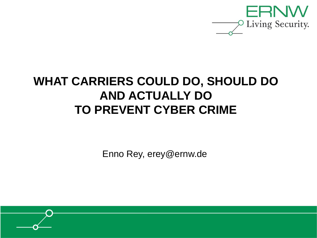

### **WHAT CARRIERS COULD DO, SHOULD DO AND ACTUALLY DO TO PREVENT CYBER CRIME**

Enno Rey, erey@ernw.de

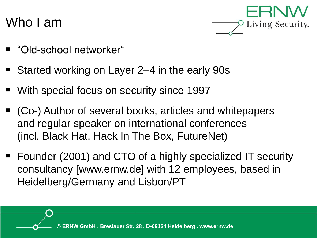Who I am



- "Old-school networker"
- Started working on Layer 2–4 in the early 90s
- With special focus on security since 1997
- (Co-) Author of several books, articles and whitepapers and regular speaker on international conferences (incl. Black Hat, Hack In The Box, FutureNet)
- Founder (2001) and CTO of a highly specialized IT security consultancy [www.ernw.de] with 12 employees, based in Heidelberg/Germany and Lisbon/PT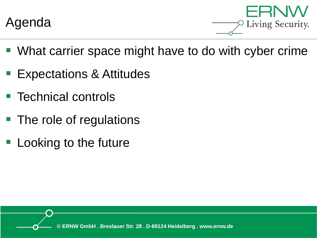

HHNV Living Security.

- What carrier space might have to do with cyber crime
- **Expectations & Attitudes**
- Technical controls
- The role of regulations
- Looking to the future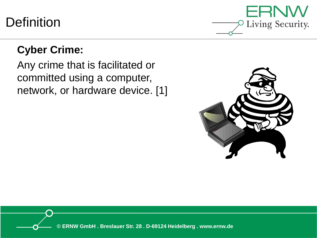## **Definition**



#### **Cyber Crime:**

Any crime that is facilitated or committed using a computer, network, or hardware device. [1]

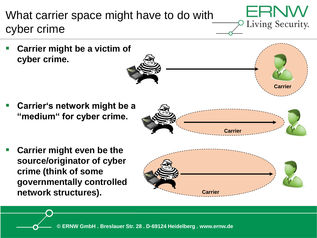What carrier space might have to do with cyber crime

ERNW Living Security.

**Carrier** 

**Carrier might be a victim of cyber crime.**

▪ **Carrier's network might be a "medium" for cyber crime.**



**Carrier might even be the source/originator of cyber crime (think of some governmentally controlled network structures).**

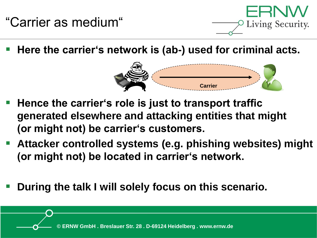## "Carrier as medium"



Here the carrier's network is (ab-) used for criminal acts.



- **Hence the carrier's role is just to transport traffic generated elsewhere and attacking entities that might (or might not) be carrier's customers.**
- Attacker controlled systems (e.g. phishing websites) might **(or might not) be located in carrier's network.**
- **During the talk I will solely focus on this scenario.**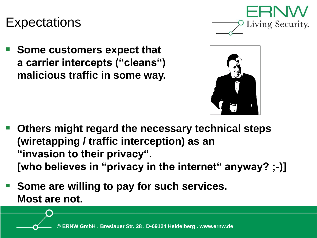## **Expectations**

■ Some customers expect that **a carrier intercepts ("cleans") malicious traffic in some way.**





- **Others might regard the necessary technical steps (wiretapping / traffic interception) as an "invasion to their privacy". [who believes in "privacy in the internet" anyway? ;-)]**
- **Some are willing to pay for such services. Most are not.**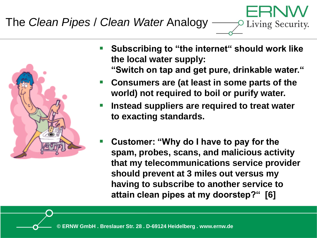## The *Clean Pipes* / *Clean Water* Analogy



**Subscribing to "the internet" should work like the local water supply: "Switch on tap and get pure, drinkable water."**

ERNV

Living Security.

- **Consumers are (at least in some parts of the world) not required to boil or purify water.**
- **Instead suppliers are required to treat water to exacting standards.**
- **Customer: "Why do I have to pay for the spam, probes, scans, and malicious activity that my telecommunications service provider should prevent at 3 miles out versus my having to subscribe to another service to attain clean pipes at my doorstep?" [6]**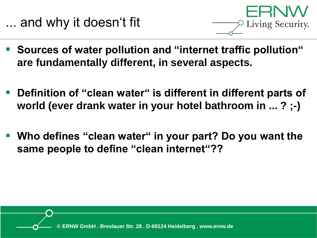... and why it doesn't fit



- Sources of water pollution and "internet traffic pollution" **are fundamentally different, in several aspects.**
- **Definition of "clean water" is different in different parts of world (ever drank water in your hotel bathroom in ... ? ;-)**
- Who defines "clean water" in your part? Do you want the **same people to define "clean internet"??**

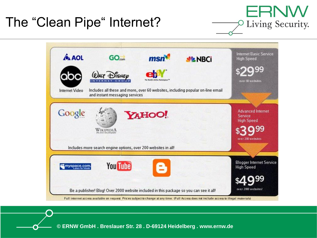### The "Clean Pipe" Internet?



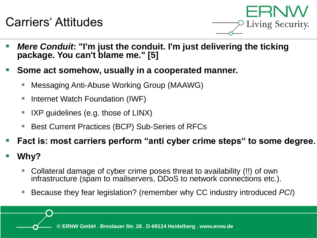### Carriers' Attitudes



- *Mere Conduit***: "I'm just the conduit. I'm just delivering the ticking package. You can't blame me." [5]**
- **Some act somehow, usually in a cooperated manner.** 
	- Messaging Anti-Abuse Working Group (MAAWG)
	- Internet Watch Foundation (IWF)
	- IXP guidelines (e.g. those of LINX)
	- **Best Current Practices (BCP) Sub-Series of RFCs**
- **Fact is: most carriers perform "anti cyber crime steps" to some degree.**
- Why?
	- Collateral damage of cyber crime poses threat to availability (!!) of own infrastructure (spam to mailservers, DDoS to network connections etc.).
	- Because they fear legislation? (remember why CC industry introduced *PCI*)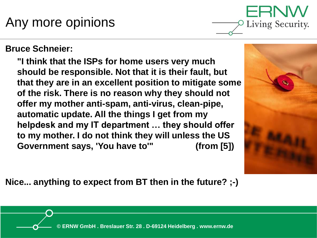

## Any more opinions

**Bruce Schneier:**

**"I think that the ISPs for home users very much should be responsible. Not that it is their fault, but that they are in an excellent position to mitigate some of the risk. There is no reason why they should not offer my mother anti-spam, anti-virus, clean-pipe, automatic update. All the things I get from my helpdesk and my IT department … they should offer to my mother. I do not think they will unless the US Government says, 'You have to'" (from [5])**

**Nice... anything to expect from BT then in the future? ;-)**



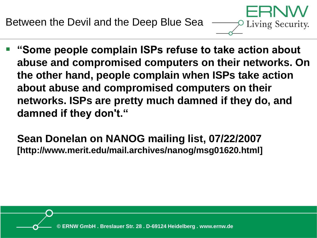

▪ **"Some people complain ISPs refuse to take action about abuse and compromised computers on their networks. On the other hand, people complain when ISPs take action about abuse and compromised computers on their networks. ISPs are pretty much damned if they do, and damned if they don't."** 

Living Security.

**Sean Donelan on NANOG mailing list, 07/22/2007 [http://www.merit.edu/mail.archives/nanog/msg01620.html]**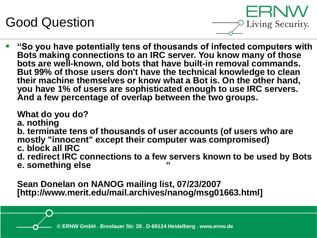



▪ **"So you have potentially tens of thousands of infected computers with Bots making connections to an IRC server. You know many of those bots are well-known, old bots that have built-in removal commands. But 99% of those users don't have the technical knowledge to clean their machine themselves or know what a Bot is. On the other hand, you have 1% of users are sophisticated enough to use IRC servers. And a few percentage of overlap between the two groups.**

**What do you do?**

**a. nothing**

**b. terminate tens of thousands of user accounts (of users who are mostly "innocent" except their computer was compromised) c. block all IRC**

**d. redirect IRC connections to a few servers known to be used by Bots e. something else "**

**Sean Donelan on NANOG mailing list, 07/23/2007 [http://www.merit.edu/mail.archives/nanog/msg01663.html]**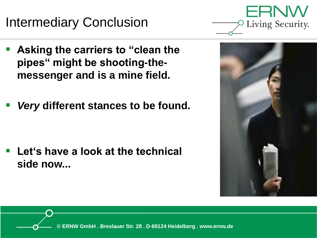# Intermediary Conclusion

- Asking the carriers to "clean the **pipes" might be shooting-themessenger and is a mine field.**
- **Very different stances to be found.**

**Let's have a look at the technical side now...**





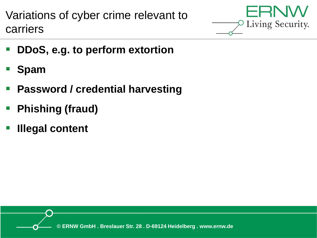Variations of cyber crime relevant to carriers



- **DDoS, e.g. to perform extortion**
- **Spam**
- **Password / credential harvesting**
- **Phishing (fraud)**
- **Illegal content**

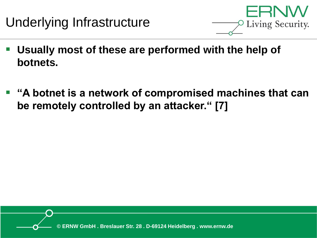



- Usually most of these are performed with the help of **botnets.**
- **"A botnet is a network of compromised machines that can be remotely controlled by an attacker." [7]**

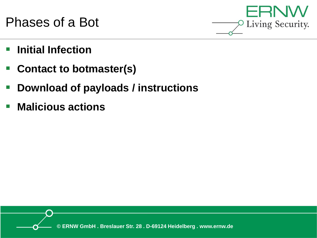Phases of a Bot



- **Initial Infection**
- **Contact to botmaster(s)**
- **Download of payloads / instructions**
- **Malicious actions**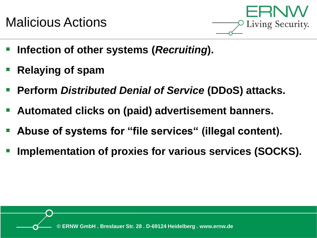



- **Infection of other systems (***Recruiting***).**
- **Relaying of spam**
- **Perform Distributed Denial of Service (DDoS) attacks.**
- Automated clicks on (paid) advertisement banners.
- Abuse of systems for "file services" (illegal content).
- **Implementation of proxies for various services (SOCKS).**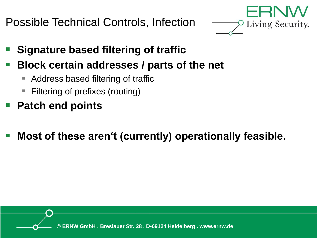Possible Technical Controls, Infection



- **Signature based filtering of traffic**
- **Block certain addresses / parts of the net** 
	- Address based filtering of traffic
	- Filtering of prefixes (routing)
- **Patch end points**
- **Most of these aren't (currently) operationally feasible.**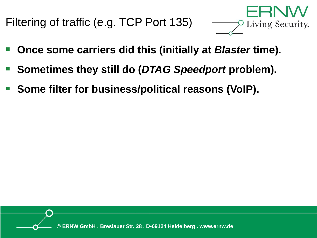Filtering of traffic (e.g. TCP Port 135)



- **Once some carriers did this (initially at** *Blaster* **time).**
- **Sometimes they still do (***DTAG Speedport* **problem).**
- **Some filter for business/political reasons (VoIP).**

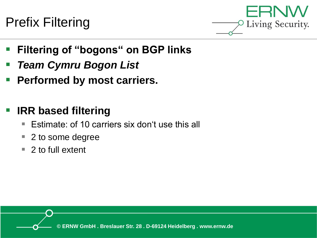# Prefix Filtering



- **Filtering of "bogons" on BGP links**
- **Team Cymru Bogon List**
- **Performed by most carriers.**

#### **IRR based filtering**

- Estimate: of 10 carriers six don't use this all
- 2 to some degree
- $\blacksquare$  2 to full extent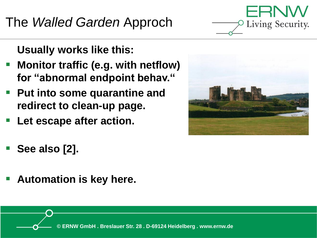## **redirect to clean-up page.**

**for "abnormal endpoint behav."**

■ Put into some quarantine and

- **Let escape after action.**
- **See also [2].**
- **Automation is key here.**

**© ERNW GmbH . Breslauer Str. 28 . D-69124 Heidelberg . www.ernw.de**







# The *Walled Garden* Approch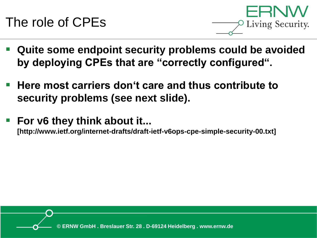

- **Quite some endpoint security problems could be avoided by deploying CPEs that are "correctly configured".**
- **Here most carriers don't care and thus contribute to security problems (see next slide).**
- **For v6 they think about it...**

**[http://www.ietf.org/internet-drafts/draft-ietf-v6ops-cpe-simple-security-00.txt]**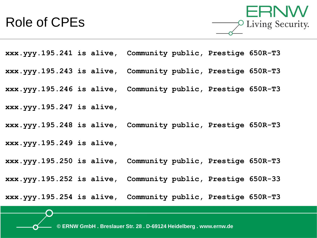#### Role of CPEs

FRNW  $\circ$  Living Security.

- **xxx.yyy.195.241 is alive, Community public, Prestige 650R-T3**
- **xxx.yyy.195.243 is alive, Community public, Prestige 650R-T3**
- **xxx.yyy.195.246 is alive, Community public, Prestige 650R-T3**
- **xxx.yyy.195.247 is alive,**
- **xxx.yyy.195.248 is alive, Community public, Prestige 650R-T3 xxx.yyy.195.249 is alive,**
- **xxx.yyy.195.250 is alive, Community public, Prestige 650R-T3**
- **xxx.yyy.195.252 is alive, Community public, Prestige 650R-33**

**xxx.yyy.195.254 is alive, Community public, Prestige 650R-T3**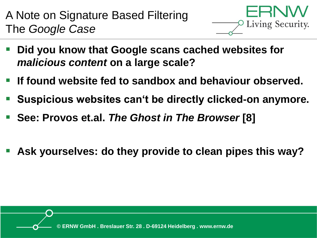A Note on Signature Based Filtering The *Google Case*



- **Did you know that Google scans cached websites for** *malicious content* **on a large scale?**
- If found website fed to sandbox and behaviour observed.
- **Suspicious websites can't be directly clicked-on anymore.**
- **See: Provos et.al.** *The Ghost in The Browser* **[8]**
- Ask yourselves: do they provide to clean pipes this way?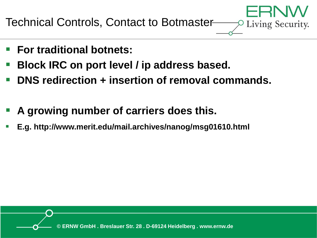Technical Controls, Contact to Botmaster Living Security.

- **For traditional botnets:**
- **Block IRC on port level / ip address based.**
- **DNS redirection + insertion of removal commands.**
- A growing number of carriers does this.
- **E.g. http://www.merit.edu/mail.archives/nanog/msg01610.html**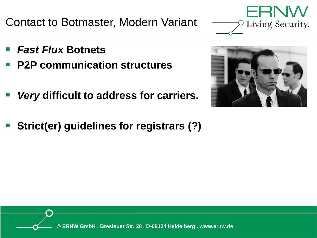- Contact to Botmaster, Modern Variant
- **Fast Flux Botnets**
- **P2P communication structures**
- *Very* **difficult to address for carriers.**
- **Strict(er) guidelines for registrars (?)**



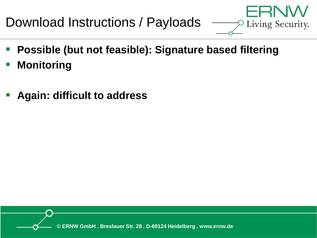Download Instructions / Payloads

**Possible (but not feasible): Signature based filtering** 

ERN

Living Security.

- **Monitoring**
- **Again: difficult to address**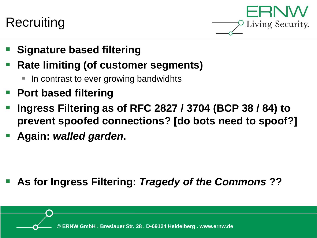# **Recruiting**



- **Signature based filtering**
- **Rate limiting (of customer segments)** 
	- In contrast to ever growing bandwidhts
- **Port based filtering**
- **Ingress Filtering as of RFC 2827 / 3704 (BCP 38 / 84) to prevent spoofed connections? [do bots need to spoof?]**
- Again: *walled garden*.

▪ **As for Ingress Filtering:** *Tragedy of the Commons* **??**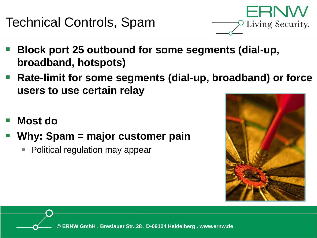Technical Controls, Spam



- **Block port 25 outbound for some segments (dial-up, broadband, hotspots)**
- Rate-limit for some segments (dial-up, broadband) or force **users to use certain relay**
- **Most do**
- **Why: Spam = major customer pain** 
	- Political regulation may appear

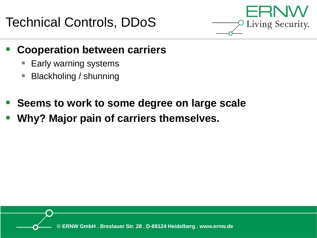Technical Controls, DDoS



- **Cooperation between carriers** 
	- Early warning systems
	- Blackholing / shunning
- **Seems to work to some degree on large scale**
- **Why? Major pain of carriers themselves.**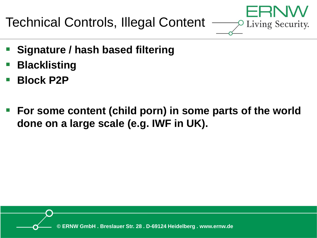Technical Controls, Illegal Content



- **Signature / hash based filtering**
- **Blacklisting**
- **Block P2P**
- For some content (child porn) in some parts of the world **done on a large scale (e.g. IWF in UK).**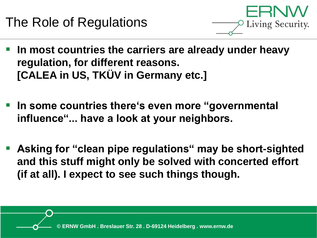

- In most countries the carriers are already under heavy **regulation, for different reasons. [CALEA in US, TKÜV in Germany etc.]**
- In some countries there's even more "governmental **influence"... have a look at your neighbors.**
- Asking for "clean pipe regulations" may be short-sighted **and this stuff might only be solved with concerted effort (if at all). I expect to see such things though.**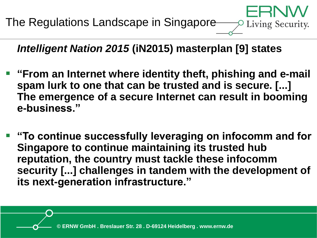

#### *Intelligent Nation 2015* **(iN2015) masterplan [9] states**

- **"From an Internet where identity theft, phishing and e-mail spam lurk to one that can be trusted and is secure. [...] The emergence of a secure Internet can result in booming e-business."**
- **"To continue successfully leveraging on infocomm and for Singapore to continue maintaining its trusted hub reputation, the country must tackle these infocomm security [...] challenges in tandem with the development of its next-generation infrastructure."**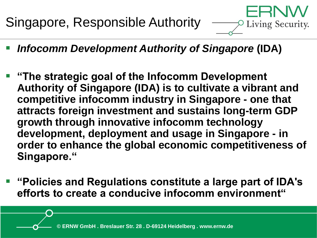Singapore, Responsible Authority

**Infocomm Development Authority of Singapore (IDA)** 

Living Security.

- **"The strategic goal of the Infocomm Development Authority of Singapore (IDA) is to cultivate a vibrant and competitive infocomm industry in Singapore - one that attracts foreign investment and sustains long-term GDP growth through innovative infocomm technology development, deployment and usage in Singapore - in order to enhance the global economic competitiveness of Singapore."**
- **"Policies and Regulations constitute a large part of IDA's efforts to create a conducive infocomm environment"**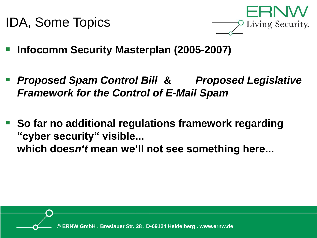

- **Infocomm Security Masterplan (2005-2007)**
- *Proposed Spam Control Bill* **&** *Proposed Legislative Framework for the Control of E-Mail Spam*
- So far no additional regulations framework regarding **"cyber security" visible... which does***n't* **mean we'll not see something here...**

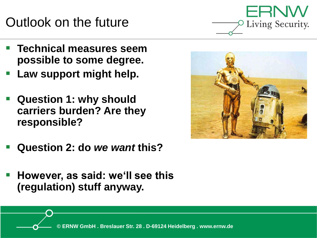# Outlook on the future

- **Technical measures seem possible to some degree.**
- **Law support might help.**
- **Question 1: why should carriers burden? Are they responsible?**
- **Question 2: do** *we want* **this?**
- **However, as said: we'll see this (regulation) stuff anyway.**



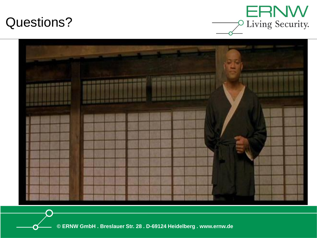### Questions?



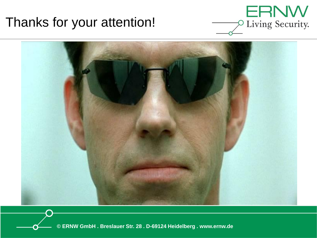### Thanks for your attention!